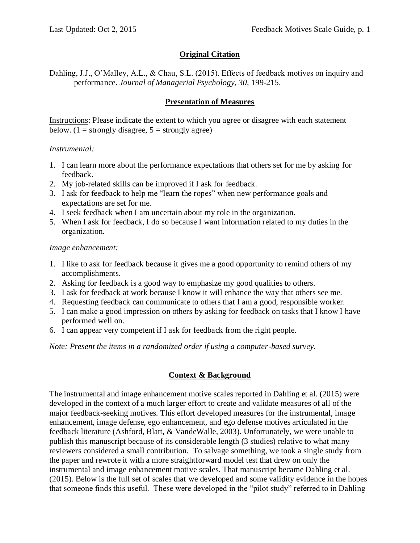### **Original Citation**

Dahling, J.J., O'Malley, A.L., & Chau, S.L. (2015). Effects of feedback motives on inquiry and performance. *Journal of Managerial Psychology, 30,* 199-215.

### **Presentation of Measures**

Instructions: Please indicate the extent to which you agree or disagree with each statement below. (1 = strongly disagree,  $5 =$  strongly agree)

#### *Instrumental:*

- 1. I can learn more about the performance expectations that others set for me by asking for feedback.
- 2. My job-related skills can be improved if I ask for feedback.
- 3. I ask for feedback to help me "learn the ropes" when new performance goals and expectations are set for me.
- 4. I seek feedback when I am uncertain about my role in the organization.
- 5. When I ask for feedback, I do so because I want information related to my duties in the organization.

#### *Image enhancement:*

- 1. I like to ask for feedback because it gives me a good opportunity to remind others of my accomplishments.
- 2. Asking for feedback is a good way to emphasize my good qualities to others.
- 3. I ask for feedback at work because I know it will enhance the way that others see me.
- 4. Requesting feedback can communicate to others that I am a good, responsible worker.
- 5. I can make a good impression on others by asking for feedback on tasks that I know I have performed well on.
- 6. I can appear very competent if I ask for feedback from the right people.

*Note: Present the items in a randomized order if using a computer-based survey.* 

### **Context & Background**

The instrumental and image enhancement motive scales reported in Dahling et al. (2015) were developed in the context of a much larger effort to create and validate measures of all of the major feedback-seeking motives. This effort developed measures for the instrumental, image enhancement, image defense, ego enhancement, and ego defense motives articulated in the feedback literature (Ashford, Blatt, & VandeWalle, 2003). Unfortunately, we were unable to publish this manuscript because of its considerable length (3 studies) relative to what many reviewers considered a small contribution. To salvage something, we took a single study from the paper and rewrote it with a more straightforward model test that drew on only the instrumental and image enhancement motive scales. That manuscript became Dahling et al. (2015). Below is the full set of scales that we developed and some validity evidence in the hopes that someone finds this useful. These were developed in the "pilot study" referred to in Dahling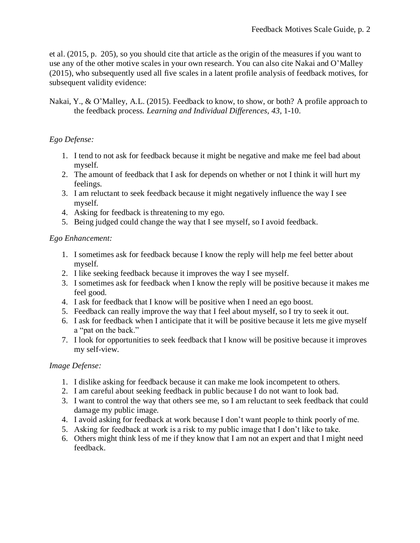et al. (2015, p. 205), so you should cite that article as the origin of the measures if you want to use any of the other motive scales in your own research. You can also cite Nakai and O'Malley (2015), who subsequently used all five scales in a latent profile analysis of feedback motives, for subsequent validity evidence:

Nakai, Y., & O'Malley, A.L. (2015). Feedback to know, to show, or both? A profile approach to the feedback process. *Learning and Individual Differences, 43,* 1-10.

## *Ego Defense:*

- 1. I tend to not ask for feedback because it might be negative and make me feel bad about myself.
- 2. The amount of feedback that I ask for depends on whether or not I think it will hurt my feelings.
- 3. I am reluctant to seek feedback because it might negatively influence the way I see myself.
- 4. Asking for feedback is threatening to my ego.
- 5. Being judged could change the way that I see myself, so I avoid feedback.

### *Ego Enhancement:*

- 1. I sometimes ask for feedback because I know the reply will help me feel better about myself.
- 2. I like seeking feedback because it improves the way I see myself.
- 3. I sometimes ask for feedback when I know the reply will be positive because it makes me feel good.
- 4. I ask for feedback that I know will be positive when I need an ego boost.
- 5. Feedback can really improve the way that I feel about myself, so I try to seek it out.
- 6. I ask for feedback when I anticipate that it will be positive because it lets me give myself a "pat on the back."
- 7. I look for opportunities to seek feedback that I know will be positive because it improves my self-view.

### *Image Defense:*

- 1. I dislike asking for feedback because it can make me look incompetent to others.
- 2. I am careful about seeking feedback in public because I do not want to look bad.
- 3. I want to control the way that others see me, so I am reluctant to seek feedback that could damage my public image.
- 4. I avoid asking for feedback at work because I don't want people to think poorly of me.
- 5. Asking for feedback at work is a risk to my public image that I don't like to take.
- 6. Others might think less of me if they know that I am not an expert and that I might need feedback.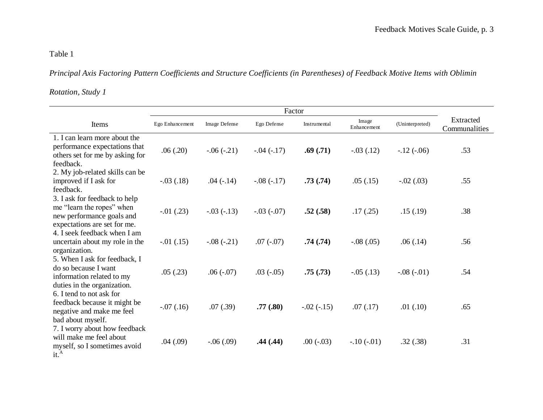# Table 1

# *Principal Axis Factoring Pattern Coefficients and Structure Coefficients (in Parentheses) of Feedback Motive Items with Oblimin*

#### *Rotation, Study 1*

| Items                                                                                                                   | Ego Enhancement | Image Defense | Ego Defense  | Instrumental | Image<br>Enhancement | (Uninterpreted) | Extracted<br>Communalities |
|-------------------------------------------------------------------------------------------------------------------------|-----------------|---------------|--------------|--------------|----------------------|-----------------|----------------------------|
| 1. I can learn more about the<br>performance expectations that<br>others set for me by asking for<br>feedback.          | .06(.20)        | $-.06(-.21)$  | $-.04(-.17)$ | .69(.71)     | $-.03(.12)$          | $-.12(-.06)$    | .53                        |
| 2. My job-related skills can be<br>improved if I ask for<br>feedback.                                                   | $-.03(.18)$     | $.04(-.14)$   | $-.08(-.17)$ | .73(.74)     | .05(0.15)            | $-.02(.03)$     | .55                        |
| 3. I ask for feedback to help<br>me "learn the ropes" when<br>new performance goals and<br>expectations are set for me. | $-.01$ $(.23)$  | $-.03(-.13)$  | $-.03(-07)$  | .52(.58)     | .17(.25)             | .15(.19)        | .38                        |
| 4. I seek feedback when I am<br>uncertain about my role in the<br>organization.                                         | $-.01(.15)$     | $-.08(-.21)$  | $.07(-.07)$  | .74(.74)     | $-.08(.05)$          | .06(.14)        | .56                        |
| 5. When I ask for feedback, I<br>do so because I want<br>information related to my<br>duties in the organization.       | .05(.23)        | $.06(-.07)$   | $.03(-.05)$  | .75(.73)     | $-.05(.13)$          | $-.08(-.01)$    | .54                        |
| 6. I tend to not ask for<br>feedback because it might be<br>negative and make me feel<br>bad about myself.              | $-.07(.16)$     | .07(.39)      | .77(.80)     | $-.02(-.15)$ | .07(.17)             | .01(.10)        | .65                        |
| 7. I worry about how feedback<br>will make me feel about<br>myself, so I sometimes avoid<br>it. <sup>A</sup>            | .04(.09)        | $-.06(.09)$   | .44(.44)     | $.00(-.03)$  | $-.10(-.01)$         | .32(.38)        | .31                        |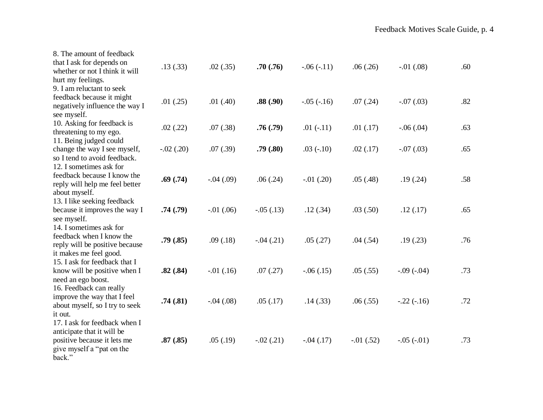| 8. The amount of feedback<br>that I ask for depends on<br>whether or not I think it will<br>hurt my feelings.                     | .13(.33)    | .02(.35)       | .70(.76)    | $-.06(-.11)$   | .06(.26)    | $-.01(.08)$    | .60 |
|-----------------------------------------------------------------------------------------------------------------------------------|-------------|----------------|-------------|----------------|-------------|----------------|-----|
| 9. I am reluctant to seek<br>feedback because it might<br>negatively influence the way I<br>see myself.                           | .01(.25)    | .01(40)        | .88(.90)    | $-.05(-.16)$   | .07(.24)    | $-.07(.03)$    | .82 |
| 10. Asking for feedback is<br>threatening to my ego.                                                                              | .02(.22)    | .07(.38)       | .76(.79)    | $.01(-.11)$    | .01(.17)    | $-.06(.04)$    | .63 |
| 11. Being judged could<br>change the way I see myself,<br>so I tend to avoid feedback.                                            | $-.02(.20)$ | .07(.39)       | .79(.80)    | $.03(-.10)$    | .02(.17)    | $-.07(.03)$    | .65 |
| 12. I sometimes ask for<br>feedback because I know the<br>reply will help me feel better<br>about myself.                         | .69(.74)    | $-.04(.09)$    | .06(.24)    | $-.01$ $(.20)$ | .05(.48)    | .19(.24)       | .58 |
| 13. I like seeking feedback<br>because it improves the way I<br>see myself.                                                       | .74(.79)    | $-.01$ $(.06)$ | $-.05(.13)$ | .12(.34)       | .03(.50)    | .12(.17)       | .65 |
| 14. I sometimes ask for<br>feedback when I know the<br>reply will be positive because<br>it makes me feel good.                   | .79(.85)    | .09(0.18)      | $-.04(.21)$ | .05(.27)       | .04(.54)    | .19(.23)       | .76 |
| 15. I ask for feedback that I<br>know will be positive when I<br>need an ego boost.                                               | .82(.84)    | $-.01(.16)$    | .07(.27)    | $-.06(.15)$    | .05(.55)    | $-0.09(-0.04)$ | .73 |
| 16. Feedback can really<br>improve the way that I feel<br>about myself, so I try to seek<br>it out.                               | .74(.81)    | $-.04(.08)$    | .05(.17)    | .14(0.33)      | .06(.55)    | $-.22(-.16)$   | .72 |
| 17. I ask for feedback when I<br>anticipate that it will be<br>positive because it lets me<br>give myself a "pat on the<br>back." | .87(.85)    | .05(.19)       | $-.02(.21)$ | $-.04(.17)$    | $-.01(.52)$ | $-.05(-.01)$   | .73 |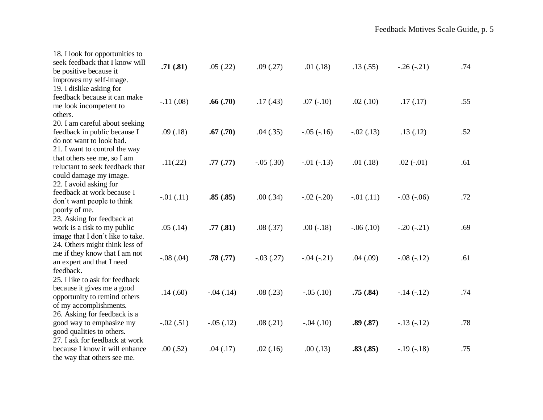| 18. I look for opportunities to<br>seek feedback that I know will<br>be positive because it<br>improves my self-image.    | .71(.81)       | .05(.22)    | .09(.27)    | .01(.18)     | .13(.55)       | $-.26(-.21)$ | .74 |
|---------------------------------------------------------------------------------------------------------------------------|----------------|-------------|-------------|--------------|----------------|--------------|-----|
| 19. I dislike asking for<br>feedback because it can make<br>me look incompetent to<br>others.                             | $-.11(.08)$    | .66(.70)    | .17(.43)    | $.07(-.10)$  | .02(.10)       | .17(.17)     | .55 |
| 20. I am careful about seeking<br>feedback in public because I<br>do not want to look bad.                                | .09(.18)       | .67(.70)    | .04(.35)    | $-.05(-.16)$ | $-.02(.13)$    | .13(.12)     | .52 |
| 21. I want to control the way<br>that others see me, so I am<br>reluctant to seek feedback that<br>could damage my image. | .11(.22)       | .77(.77)    | $-.05(.30)$ | $-.01(-.13)$ | .01(.18)       | $.02(-.01)$  | .61 |
| 22. I avoid asking for<br>feedback at work because I<br>don't want people to think<br>poorly of me.                       | $-.01$ $(.11)$ | .85(.85)    | .00(.34)    | $-.02(-.20)$ | $-.01$ $(.11)$ | $-.03(-.06)$ | .72 |
| 23. Asking for feedback at<br>work is a risk to my public<br>image that I don't like to take.                             | .05(.14)       | .77(.81)    | .08(.37)    | $.00(-.18)$  | $-.06(.10)$    | $-.20(-.21)$ | .69 |
| 24. Others might think less of<br>me if they know that I am not<br>an expert and that I need<br>feedback.                 | $-.08(.04)$    | .78(.77)    | $-.03(.27)$ | $-.04(-.21)$ | .04(.09)       | $-.08(-.12)$ | .61 |
| 25. I like to ask for feedback<br>because it gives me a good<br>opportunity to remind others<br>of my accomplishments.    | .14(.60)       | $-.04(.14)$ | .08(.23)    | $-.05(.10)$  | .75(.84)       | $-.14(-.12)$ | .74 |
| 26. Asking for feedback is a<br>good way to emphasize my<br>good qualities to others.                                     | $-.02(.51)$    | $-.05(.12)$ | .08(.21)    | $-.04(.10)$  | .89(.87)       | $-.13(-.12)$ | .78 |
| 27. I ask for feedback at work<br>because I know it will enhance<br>the way that others see me.                           | .00(.52)       | .04(.17)    | .02(.16)    | .00(0.13)    | .83(.85)       | $-.19(-.18)$ | .75 |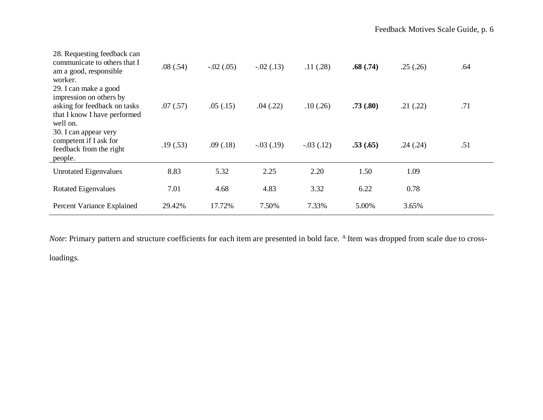| 28. Requesting feedback can<br>communicate to others that I<br>am a good, responsible<br>worker.                             | .08(.54) | $-.02(.05)$ | $-.02(.13)$ | .11(.28)    | .68(.74) | .25(.26) | .64 |
|------------------------------------------------------------------------------------------------------------------------------|----------|-------------|-------------|-------------|----------|----------|-----|
| 29. I can make a good<br>impression on others by<br>asking for feedback on tasks<br>that I know I have performed<br>well on. | .07(.57) | .05(0.15)   | .04(.22)    | .10(.26)    | .73(.80) | .21(.22) | .71 |
| 30. I can appear very<br>competent if I ask for<br>feedback from the right<br>people.                                        | .19(.53) | .09(0.18)   | $-.03(.19)$ | $-.03(.12)$ | .53(.65) | .24(.24) | .51 |
| <b>Unrotated Eigenvalues</b>                                                                                                 | 8.83     |             |             |             |          | 1.09     |     |
|                                                                                                                              |          | 5.32        | 2.25        | 2.20        | 1.50     |          |     |
| <b>Rotated Eigenvalues</b>                                                                                                   | 7.01     | 4.68        | 4.83        | 3.32        | 6.22     | 0.78     |     |

*Note*: Primary pattern and structure coefficients for each item are presented in bold face. <sup>A</sup> Item was dropped from scale due to cross-

loadings.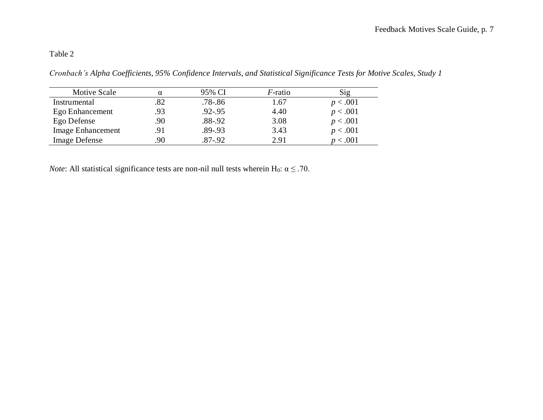## Table 2

*Cronbach's Alpha Coefficients, 95% Confidence Intervals, and Statistical Significance Tests for Motive Scales, Study 1*

| Motive Scale             |     | 95% CI      | $F$ -ratio | Sig      |
|--------------------------|-----|-------------|------------|----------|
| Instrumental             | .82 | $.78 - .86$ | 1.67       | p < .001 |
| Ego Enhancement          | .93 | $.92 - .95$ | 4.40       | p < .001 |
| Ego Defense              | 90  | $.88 - .92$ | 3.08       | p < .001 |
| <b>Image Enhancement</b> |     | $.89 - .93$ | 3.43       | p < .001 |
| <b>Image Defense</b>     | 90  | .87-.92     | 2.91       | < 0.001  |

*Note*: All statistical significance tests are non-nil null tests wherein H<sub>0</sub>:  $\alpha \leq .70$ .